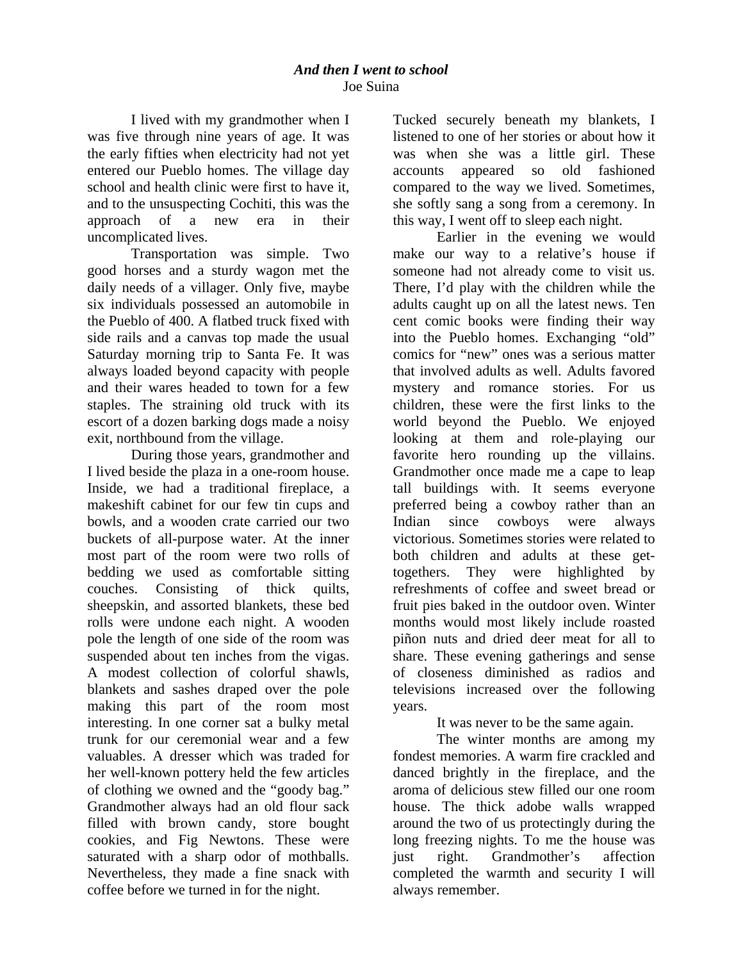I lived with my grandmother when I was five through nine years of age. It was the early fifties when electricity had not yet entered our Pueblo homes. The village day school and health clinic were first to have it, and to the unsuspecting Cochiti, this was the approach of a new era in their uncomplicated lives.

Transportation was simple. Two good horses and a sturdy wagon met the daily needs of a villager. Only five, maybe six individuals possessed an automobile in the Pueblo of 400. A flatbed truck fixed with side rails and a canvas top made the usual Saturday morning trip to Santa Fe. It was always loaded beyond capacity with people and their wares headed to town for a few staples. The straining old truck with its escort of a dozen barking dogs made a noisy exit, northbound from the village.

During those years, grandmother and I lived beside the plaza in a one-room house. Inside, we had a traditional fireplace, a makeshift cabinet for our few tin cups and bowls, and a wooden crate carried our two buckets of all-purpose water. At the inner most part of the room were two rolls of bedding we used as comfortable sitting couches. Consisting of thick quilts, sheepskin, and assorted blankets, these bed rolls were undone each night. A wooden pole the length of one side of the room was suspended about ten inches from the vigas. A modest collection of colorful shawls, blankets and sashes draped over the pole making this part of the room most interesting. In one corner sat a bulky metal trunk for our ceremonial wear and a few valuables. A dresser which was traded for her well-known pottery held the few articles of clothing we owned and the "goody bag." Grandmother always had an old flour sack filled with brown candy, store bought cookies, and Fig Newtons. These were saturated with a sharp odor of mothballs. Nevertheless, they made a fine snack with coffee before we turned in for the night.

Tucked securely beneath my blankets, I listened to one of her stories or about how it was when she was a little girl. These accounts appeared so old fashioned compared to the way we lived. Sometimes, she softly sang a song from a ceremony. In this way, I went off to sleep each night.

Earlier in the evening we would make our way to a relative's house if someone had not already come to visit us. There, I'd play with the children while the adults caught up on all the latest news. Ten cent comic books were finding their way into the Pueblo homes. Exchanging "old" comics for "new" ones was a serious matter that involved adults as well. Adults favored mystery and romance stories. For us children, these were the first links to the world beyond the Pueblo. We enjoyed looking at them and role-playing our favorite hero rounding up the villains. Grandmother once made me a cape to leap tall buildings with. It seems everyone preferred being a cowboy rather than an Indian since cowboys were always victorious. Sometimes stories were related to both children and adults at these gettogethers. They were highlighted by refreshments of coffee and sweet bread or fruit pies baked in the outdoor oven. Winter months would most likely include roasted piñon nuts and dried deer meat for all to share. These evening gatherings and sense of closeness diminished as radios and televisions increased over the following years.

It was never to be the same again.

The winter months are among my fondest memories. A warm fire crackled and danced brightly in the fireplace, and the aroma of delicious stew filled our one room house. The thick adobe walls wrapped around the two of us protectingly during the long freezing nights. To me the house was just right. Grandmother's affection completed the warmth and security I will always remember.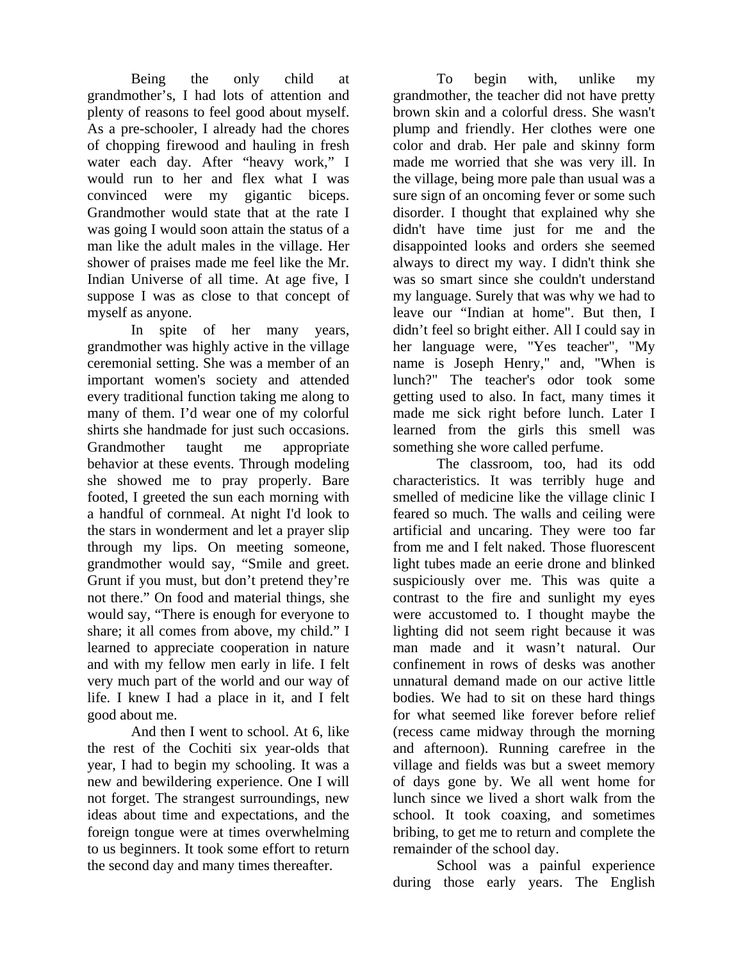Being the only child at grandmother's, I had lots of attention and plenty of reasons to feel good about myself. As a pre-schooler, I already had the chores of chopping firewood and hauling in fresh water each day. After "heavy work," I would run to her and flex what I was convinced were my gigantic biceps. Grandmother would state that at the rate I was going I would soon attain the status of a man like the adult males in the village. Her shower of praises made me feel like the Mr. Indian Universe of all time. At age five, I suppose I was as close to that concept of myself as anyone.

In spite of her many years, grandmother was highly active in the village ceremonial setting. She was a member of an important women's society and attended every traditional function taking me along to many of them. I'd wear one of my colorful shirts she handmade for just such occasions. Grandmother taught me appropriate behavior at these events. Through modeling she showed me to pray properly. Bare footed, I greeted the sun each morning with a handful of cornmeal. At night I'd look to the stars in wonderment and let a prayer slip through my lips. On meeting someone, grandmother would say, "Smile and greet. Grunt if you must, but don't pretend they're not there." On food and material things, she would say, "There is enough for everyone to share; it all comes from above, my child." I learned to appreciate cooperation in nature and with my fellow men early in life. I felt very much part of the world and our way of life. I knew I had a place in it, and I felt good about me.

And then I went to school. At 6, like the rest of the Cochiti six year-olds that year, I had to begin my schooling. It was a new and bewildering experience. One I will not forget. The strangest surroundings, new ideas about time and expectations, and the foreign tongue were at times overwhelming to us beginners. It took some effort to return the second day and many times thereafter.

To begin with, unlike my grandmother, the teacher did not have pretty brown skin and a colorful dress. She wasn't plump and friendly. Her clothes were one color and drab. Her pale and skinny form made me worried that she was very ill. In the village, being more pale than usual was a sure sign of an oncoming fever or some such disorder. I thought that explained why she didn't have time just for me and the disappointed looks and orders she seemed always to direct my way. I didn't think she was so smart since she couldn't understand my language. Surely that was why we had to leave our "Indian at home". But then, I didn't feel so bright either. All I could say in her language were, "Yes teacher", "My name is Joseph Henry," and, "When is lunch?" The teacher's odor took some getting used to also. In fact, many times it made me sick right before lunch. Later I learned from the girls this smell was something she wore called perfume.

The classroom, too, had its odd characteristics. It was terribly huge and smelled of medicine like the village clinic I feared so much. The walls and ceiling were artificial and uncaring. They were too far from me and I felt naked. Those fluorescent light tubes made an eerie drone and blinked suspiciously over me. This was quite a contrast to the fire and sunlight my eyes were accustomed to. I thought maybe the lighting did not seem right because it was man made and it wasn't natural. Our confinement in rows of desks was another unnatural demand made on our active little bodies. We had to sit on these hard things for what seemed like forever before relief (recess came midway through the morning and afternoon). Running carefree in the village and fields was but a sweet memory of days gone by. We all went home for lunch since we lived a short walk from the school. It took coaxing, and sometimes bribing, to get me to return and complete the remainder of the school day.

School was a painful experience during those early years. The English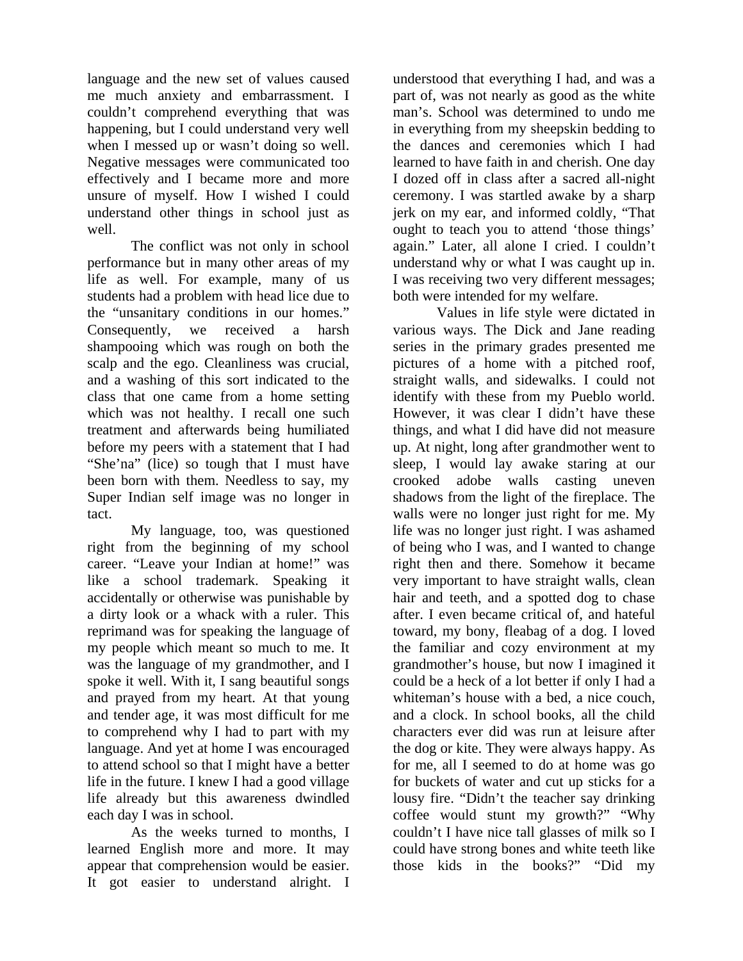language and the new set of values caused me much anxiety and embarrassment. I couldn't comprehend everything that was happening, but I could understand very well when I messed up or wasn't doing so well. Negative messages were communicated too effectively and I became more and more unsure of myself. How I wished I could understand other things in school just as well.

The conflict was not only in school performance but in many other areas of my life as well. For example, many of us students had a problem with head lice due to the "unsanitary conditions in our homes." Consequently, we received a harsh shampooing which was rough on both the scalp and the ego. Cleanliness was crucial, and a washing of this sort indicated to the class that one came from a home setting which was not healthy. I recall one such treatment and afterwards being humiliated before my peers with a statement that I had "She'na" (lice) so tough that I must have been born with them. Needless to say, my Super Indian self image was no longer in tact.

My language, too, was questioned right from the beginning of my school career. "Leave your Indian at home!" was like a school trademark. Speaking it accidentally or otherwise was punishable by a dirty look or a whack with a ruler. This reprimand was for speaking the language of my people which meant so much to me. It was the language of my grandmother, and I spoke it well. With it, I sang beautiful songs and prayed from my heart. At that young and tender age, it was most difficult for me to comprehend why I had to part with my language. And yet at home I was encouraged to attend school so that I might have a better life in the future. I knew I had a good village life already but this awareness dwindled each day I was in school.

As the weeks turned to months, I learned English more and more. It may appear that comprehension would be easier. It got easier to understand alright. I

understood that everything I had, and was a part of, was not nearly as good as the white man's. School was determined to undo me in everything from my sheepskin bedding to the dances and ceremonies which I had learned to have faith in and cherish. One day I dozed off in class after a sacred all-night ceremony. I was startled awake by a sharp jerk on my ear, and informed coldly, "That ought to teach you to attend 'those things' again." Later, all alone I cried. I couldn't understand why or what I was caught up in. I was receiving two very different messages; both were intended for my welfare.

Values in life style were dictated in various ways. The Dick and Jane reading series in the primary grades presented me pictures of a home with a pitched roof, straight walls, and sidewalks. I could not identify with these from my Pueblo world. However, it was clear I didn't have these things, and what I did have did not measure up. At night, long after grandmother went to sleep, I would lay awake staring at our crooked adobe walls casting uneven shadows from the light of the fireplace. The walls were no longer just right for me. My life was no longer just right. I was ashamed of being who I was, and I wanted to change right then and there. Somehow it became very important to have straight walls, clean hair and teeth, and a spotted dog to chase after. I even became critical of, and hateful toward, my bony, fleabag of a dog. I loved the familiar and cozy environment at my grandmother's house, but now I imagined it could be a heck of a lot better if only I had a whiteman's house with a bed, a nice couch, and a clock. In school books, all the child characters ever did was run at leisure after the dog or kite. They were always happy. As for me, all I seemed to do at home was go for buckets of water and cut up sticks for a lousy fire. "Didn't the teacher say drinking coffee would stunt my growth?" "Why couldn't I have nice tall glasses of milk so I could have strong bones and white teeth like those kids in the books?" "Did my